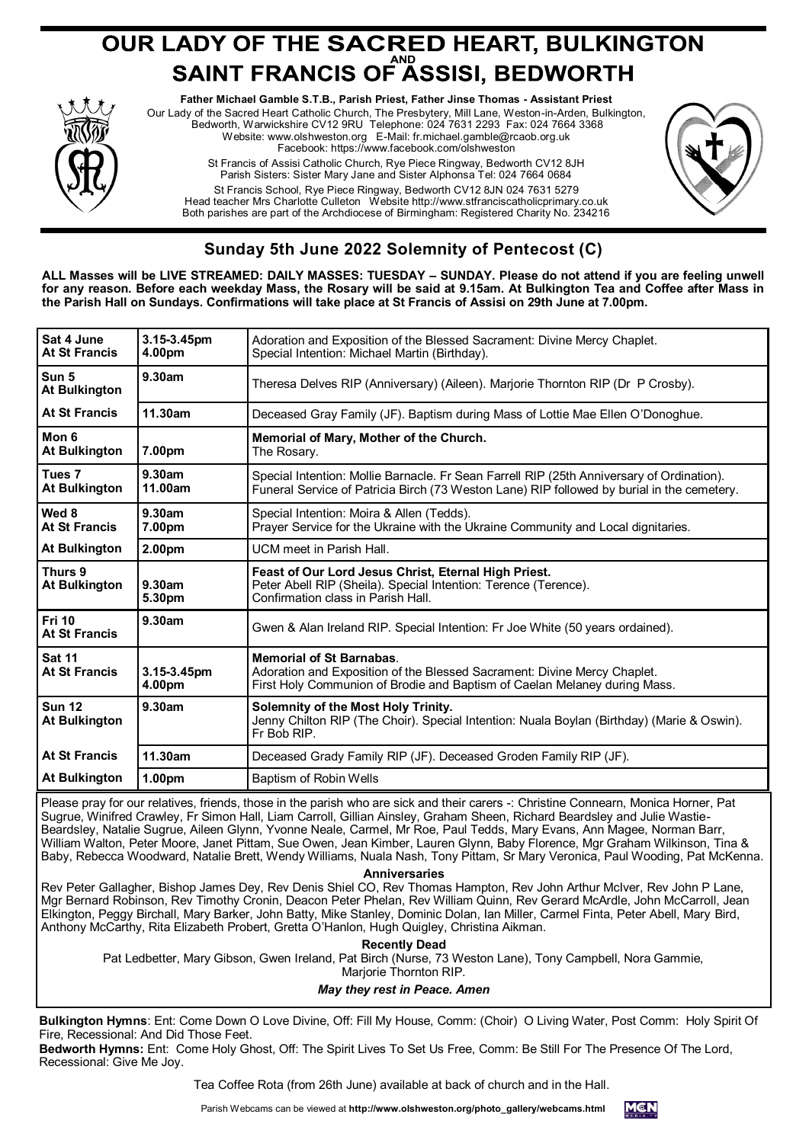## **OUR LADY OF THE SACRED HEART, BULKINGTON<br>SAINT FRANCIS OF ASSISI, BEDWORTH**



**Father Michael Gamble S.T.B., Parish Priest, Father Jinse Thomas - Assistant Priest** Our Lady of the Sacred Heart Catholic Church, The Presbytery, Mill Lane, Weston-in-Arden, Bulkington, Bedworth, Warwickshire CV12 9RU Telephone: 024 7631 2293 Fax: 024 7664 3368 Website: www.olshweston.org E-Mail: fr.michael.gamble@rcaob.org.uk Facebook: https://www.facebook.com/olshweston St Francis of Assisi Catholic Church, Rye Piece Ringway, Bedworth CV12 8JH Parish Sisters: Sister Mary Jane and Sister Alphonsa Tel: 024 7664 0684 St Francis School, Rye Piece Ringway, Bedworth CV12 8JN 024 7631 5279 Head teacher Mrs Charlotte Culleton Website http://www.stfranciscatholicprimary.co.uk Both parishes are part of the Archdiocese of Birmingham: Registered Charity No. 234216



## **Sunday 5th June 2022 Solemnity of Pentecost (C)**

**ALL Masses will be LIVE STREAMED: DAILY MASSES: TUESDAY – SUNDAY. Please do not attend if you are feeling unwell for any reason. Before each weekday Mass, the Rosary will be said at 9.15am. At Bulkington Tea and Coffee after Mass in the Parish Hall on Sundays. Confirmations will take place at St Francis of Assisi on 29th June at 7.00pm.**

| Sat 4 June<br>At St Francis               | 3.15-3.45pm<br>4.00pm | Adoration and Exposition of the Blessed Sacrament: Divine Mercy Chaplet.<br>Special Intention: Michael Martin (Birthday).                                                                |
|-------------------------------------------|-----------------------|------------------------------------------------------------------------------------------------------------------------------------------------------------------------------------------|
| Sun 5<br><b>At Bulkington</b>             | 9.30am                | Theresa Delves RIP (Anniversary) (Aileen). Marjorie Thornton RIP (Dr P Crosby).                                                                                                          |
| At St Francis                             | 11.30am               | Deceased Gray Family (JF). Baptism during Mass of Lottie Mae Ellen O'Donoghue.                                                                                                           |
| Mon 6<br><b>At Bulkington</b>             | 7.00pm                | Memorial of Mary, Mother of the Church.<br>The Rosary.                                                                                                                                   |
| Tues <sub>7</sub><br><b>At Bulkington</b> | 9.30am<br>11.00am     | Special Intention: Mollie Barnacle. Fr Sean Farrell RIP (25th Anniversary of Ordination).<br>Funeral Service of Patricia Birch (73 Weston Lane) RIP followed by burial in the cemetery.  |
| Wed 8<br><b>At St Francis</b>             | 9.30am<br>7.00pm      | Special Intention: Moira & Allen (Tedds).<br>Prayer Service for the Ukraine with the Ukraine Community and Local dignitaries.                                                            |
| <b>At Bulkington</b>                      | 2.00pm                | UCM meet in Parish Hall.                                                                                                                                                                 |
| Thurs 9<br><b>At Bulkington</b>           | 9.30am<br>5.30pm      | Feast of Our Lord Jesus Christ, Eternal High Priest.<br>Peter Abell RIP (Sheila). Special Intention: Terence (Terence).<br>Confirmation class in Parish Hall.                            |
| <b>Fri 10</b><br><b>At St Francis</b>     | 9.30am                | Gwen & Alan Ireland RIP. Special Intention: Fr Joe White (50 years ordained).                                                                                                            |
| <b>Sat 11</b><br><b>At St Francis</b>     | 3.15-3.45pm<br>4.00pm | <b>Memorial of St Barnabas.</b><br>Adoration and Exposition of the Blessed Sacrament: Divine Mercy Chaplet.<br>First Holy Communion of Brodie and Baptism of Caelan Melaney during Mass. |
| <b>Sun 12</b><br><b>At Bulkington</b>     | 9.30am                | Solemnity of the Most Holy Trinity.<br>Jenny Chilton RIP (The Choir). Special Intention: Nuala Boylan (Birthday) (Marie & Oswin).<br>Fr Bob RIP.                                         |
| At St Francis                             | 11.30am               | Deceased Grady Family RIP (JF). Deceased Groden Family RIP (JF).                                                                                                                         |
| <b>At Bulkington</b>                      | 1.00pm                | Baptism of Robin Wells                                                                                                                                                                   |
|                                           |                       |                                                                                                                                                                                          |

Please pray for our relatives, friends, those in the parish who are sick and their carers -: Christine Connearn, Monica Horner, Pat Sugrue, Winifred Crawley, Fr Simon Hall, Liam Carroll, Gillian Ainsley, Graham Sheen, Richard Beardsley and Julie Wastie-Beardsley, Natalie Sugrue, Aileen Glynn, Yvonne Neale, Carmel, Mr Roe, Paul Tedds, Mary Evans, Ann Magee, Norman Barr, William Walton, Peter Moore, Janet Pittam, Sue Owen, Jean Kimber, Lauren Glynn, Baby Florence, Mgr Graham Wilkinson, Tina & Baby, Rebecca Woodward, Natalie Brett, Wendy Williams, Nuala Nash, Tony Pittam, Sr Mary Veronica, Paul Wooding, Pat McKenna.

**Anniversaries** 

Rev Peter Gallagher, Bishop James Dey, Rev Denis Shiel CO, Rev Thomas Hampton, Rev John Arthur McIver, Rev John P Lane, Mgr Bernard Robinson, Rev Timothy Cronin, Deacon Peter Phelan, Rev William Quinn, Rev Gerard McArdle, John McCarroll, Jean Elkington, Peggy Birchall, Mary Barker, John Batty, Mike Stanley, Dominic Dolan, Ian Miller, Carmel Finta, Peter Abell, Mary Bird, Anthony McCarthy, Rita Elizabeth Probert, Gretta O'Hanlon, Hugh Quigley, Christina Aikman.

**Recently Dead**

Pat Ledbetter, Mary Gibson, Gwen Ireland, Pat Birch (Nurse, 73 Weston Lane), Tony Campbell, Nora Gammie,

Marjorie Thornton RIP.

*May they rest in Peace. Amen*

**Bulkington Hymns**: Ent: Come Down O Love Divine, Off: Fill My House, Comm: (Choir) O Living Water, Post Comm: Holy Spirit Of Fire, Recessional: And Did Those Feet.

**Bedworth Hymns:** Ent: Come Holy Ghost, Off: The Spirit Lives To Set Us Free, Comm: Be Still For The Presence Of The Lord, Recessional: Give Me Joy.

Tea Coffee Rota (from 26th June) available at back of church and in the Hall.